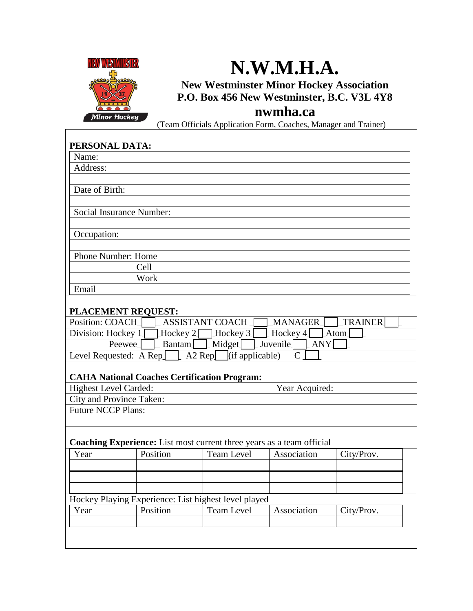

## **N.W.M.H.A.**

**New Westminster Minor Hockey Association P.O. Box 456 New Westminster, B.C. V3L 4Y8**

## **nwmha.ca**

(Team Officials Application Form, Coaches, Manager and Trainer)

| PERSONAL DATA:                                                                           |  |  |  |  |  |
|------------------------------------------------------------------------------------------|--|--|--|--|--|
| Name:                                                                                    |  |  |  |  |  |
| Address:                                                                                 |  |  |  |  |  |
|                                                                                          |  |  |  |  |  |
| Date of Birth:                                                                           |  |  |  |  |  |
|                                                                                          |  |  |  |  |  |
| Social Insurance Number:                                                                 |  |  |  |  |  |
|                                                                                          |  |  |  |  |  |
| Occupation:                                                                              |  |  |  |  |  |
|                                                                                          |  |  |  |  |  |
| Phone Number: Home                                                                       |  |  |  |  |  |
| Cell                                                                                     |  |  |  |  |  |
| Work                                                                                     |  |  |  |  |  |
| Email                                                                                    |  |  |  |  |  |
|                                                                                          |  |  |  |  |  |
| PLACEMENT REQUEST:                                                                       |  |  |  |  |  |
| Position: COACH<br><b>ASSISTANT COACH</b><br><b>MANAGER</b><br><b>TRAINER</b>            |  |  |  |  |  |
| Division: Hockey 1<br>∐Hockey 2 [<br>Hockey 3<br>Hockey 4<br>Atom                        |  |  |  |  |  |
| Midget<br>Juvenile<br>Peewee <sup>1</sup><br>ANY<br>Bantam                               |  |  |  |  |  |
| $\overline{A2 \text{ Rep}}$ (if applicable)<br>Level Requested: $A Rep$<br>$\mathcal{C}$ |  |  |  |  |  |
|                                                                                          |  |  |  |  |  |
| <b>CAHA National Coaches Certification Program:</b>                                      |  |  |  |  |  |
| Highest Level Carded:<br>Year Acquired:                                                  |  |  |  |  |  |
| City and Province Taken:<br><b>Future NCCP Plans:</b>                                    |  |  |  |  |  |
|                                                                                          |  |  |  |  |  |
|                                                                                          |  |  |  |  |  |
| <b>Coaching Experience:</b> List most current three years as a team official             |  |  |  |  |  |
| Position<br><b>Team Level</b><br>Association<br>Year<br>City/Prov.                       |  |  |  |  |  |
|                                                                                          |  |  |  |  |  |
|                                                                                          |  |  |  |  |  |
|                                                                                          |  |  |  |  |  |
|                                                                                          |  |  |  |  |  |
| Hockey Playing Experience: List highest level played                                     |  |  |  |  |  |
| <b>Team Level</b><br>Year<br>Position<br>City/Prov.<br>Association                       |  |  |  |  |  |
|                                                                                          |  |  |  |  |  |
|                                                                                          |  |  |  |  |  |